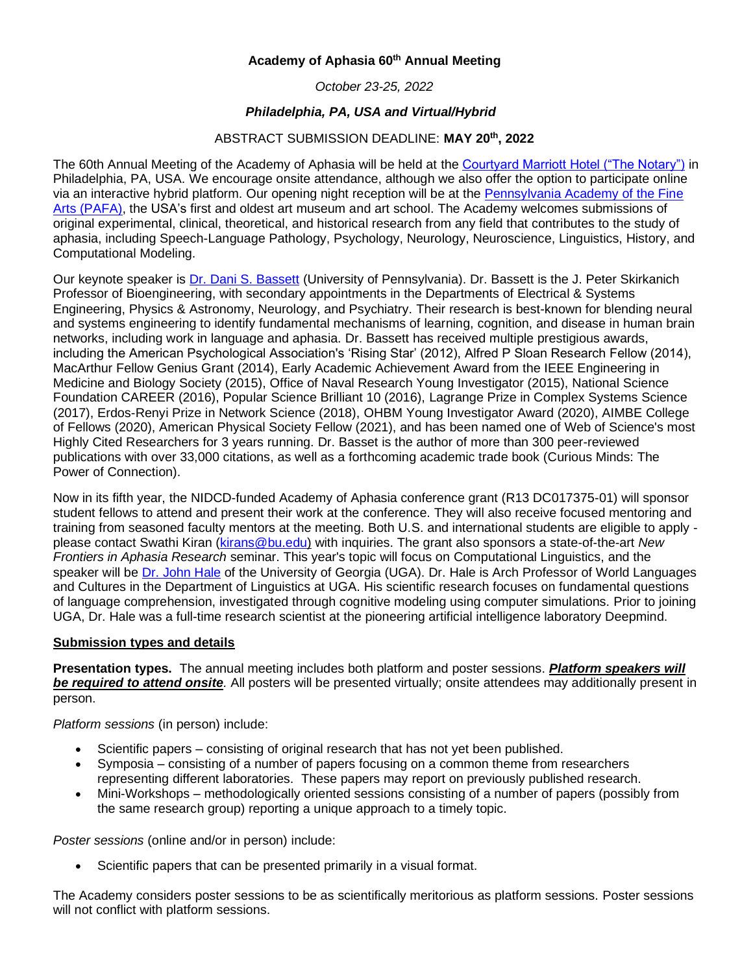## **Academy of Aphasia 60th Annual Meeting**

*October 23-25, 2022*

## *Philadelphia, PA, USA and Virtual/Hybrid*

## ABSTRACT SUBMISSION DEADLINE: **MAY 20th, 2022**

The 60th Annual Meeting of the Academy of Aphasia will be held at the [Courtyard Marriott Hotel \("The Notary"\)](https://www.thenotaryhotel.com/) in Philadelphia, PA, USA. We encourage onsite attendance, although we also offer the option to participate online via an interactive hybrid platform. Our opening night reception will be at the [Pennsylvania Academy of the Fine](https://www.pafa.org/)  [Arts \(PAFA\),](https://www.pafa.org/) the USA's first and oldest art museum and art school. The Academy welcomes submissions of original experimental, clinical, theoretical, and historical research from any field that contributes to the study of aphasia, including Speech-Language Pathology, Psychology, Neurology, Neuroscience, Linguistics, History, and Computational Modeling.

Our keynote speaker is [Dr. Dani S. Bassett](https://live-sas-physics.pantheon.sas.upenn.edu/people/standing-faculty/danielle-bassett) (University of Pennsylvania). Dr. Bassett is the J. Peter Skirkanich Professor of Bioengineering, with secondary appointments in the Departments of Electrical & Systems Engineering, Physics & Astronomy, Neurology, and Psychiatry. Their research is best-known for blending neural and systems engineering to identify fundamental mechanisms of learning, cognition, and disease in human brain networks, including work in language and aphasia. Dr. Bassett has received multiple prestigious awards, including the American Psychological Association's 'Rising Star' (2012), Alfred P Sloan Research Fellow (2014), MacArthur Fellow Genius Grant (2014), Early Academic Achievement Award from the IEEE Engineering in Medicine and Biology Society (2015), Office of Naval Research Young Investigator (2015), National Science Foundation CAREER (2016), Popular Science Brilliant 10 (2016), Lagrange Prize in Complex Systems Science (2017), Erdos-Renyi Prize in Network Science (2018), OHBM Young Investigator Award (2020), AIMBE College of Fellows (2020), American Physical Society Fellow (2021), and has been named one of Web of Science's most Highly Cited Researchers for 3 years running. Dr. Basset is the author of more than 300 peer-reviewed publications with over 33,000 citations, as well as a forthcoming academic trade book (Curious Minds: The Power of Connection).

Now in its fifth year, the NIDCD-funded Academy of Aphasia conference grant (R13 DC017375-01) will sponsor student fellows to attend and present their work at the conference. They will also receive focused mentoring and training from seasoned faculty mentors at the meeting. Both U.S. and international students are eligible to apply please contact Swathi Kiran [\(kirans@bu.edu\)](mailto:kirans@bu.edu) with inquiries. The grant also sponsors a state-of-the-art *New Frontiers in Aphasia Research* seminar. This year's topic will focus on Computational Linguistics, and the speaker will be Dr. [John Hale](https://ling.franklin.uga.edu/directory/people/john-hale) of the University of Georgia (UGA). Dr. Hale is Arch Professor of World Languages and Cultures in the Department of Linguistics at UGA. His scientific research focuses on fundamental questions of language comprehension, investigated through cognitive modeling using computer simulations. Prior to joining UGA, Dr. Hale was a full-time research scientist at the pioneering artificial intelligence laboratory Deepmind.

## **Submission types and details**

**Presentation types.** The annual meeting includes both platform and poster sessions. *Platform speakers will be required to attend onsite.* All posters will be presented virtually; onsite attendees may additionally present in person.

*Platform sessions* (in person) include:

- Scientific papers consisting of original research that has not yet been published.
- Symposia consisting of a number of papers focusing on a common theme from researchers representing different laboratories. These papers may report on previously published research.
- Mini-Workshops methodologically oriented sessions consisting of a number of papers (possibly from the same research group) reporting a unique approach to a timely topic.

*Poster sessions* (online and/or in person) include:

Scientific papers that can be presented primarily in a visual format.

The Academy considers poster sessions to be as scientifically meritorious as platform sessions. Poster sessions will not conflict with platform sessions.